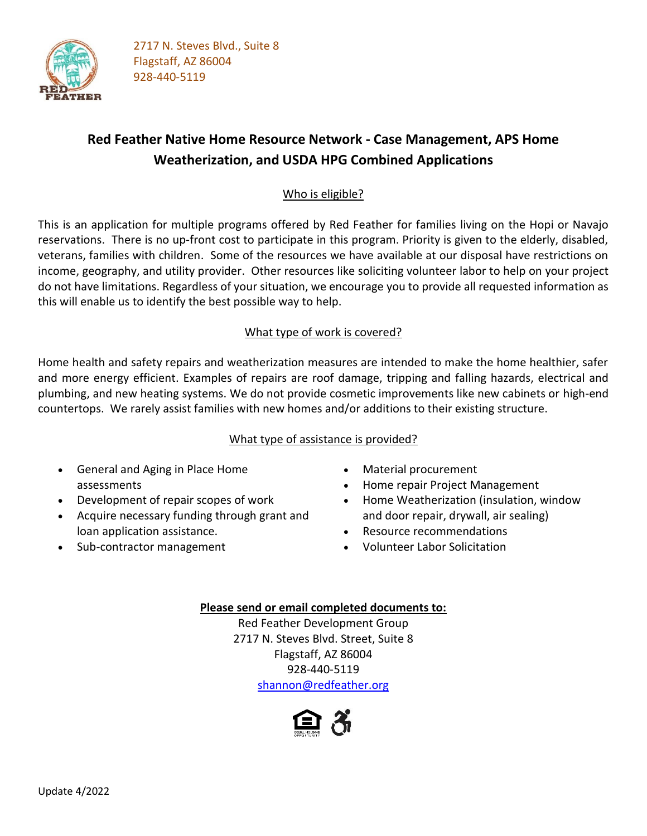

# **Red Feather Native Home Resource Network - Case Management, APS Home Weatherization, and USDA HPG Combined Applications**

### Who is eligible?

This is an application for multiple programs offered by Red Feather for families living on the Hopi or Navajo reservations. There is no up-front cost to participate in this program. Priority is given to the elderly, disabled, veterans, families with children. Some of the resources we have available at our disposal have restrictions on income, geography, and utility provider. Other resources like soliciting volunteer labor to help on your project do not have limitations. Regardless of your situation, we encourage you to provide all requested information as this will enable us to identify the best possible way to help.

### What type of work is covered?

Home health and safety repairs and weatherization measures are intended to make the home healthier, safer and more energy efficient. Examples of repairs are roof damage, tripping and falling hazards, electrical and plumbing, and new heating systems. We do not provide cosmetic improvements like new cabinets or high-end countertops. We rarely assist families with new homes and/or additions to their existing structure.

### What type of assistance is provided?

- General and Aging in Place Home assessments
- Development of repair scopes of work
- Acquire necessary funding through grant and loan application assistance.
- Sub-contractor management
- Material procurement
- Home repair Project Management
- Home Weatherization (insulation, window and door repair, drywall, air sealing)
- Resource recommendations
- Volunteer Labor Solicitation

### **Please send or email completed documents to:**

Red Feather Development Group 2717 N. Steves Blvd. Street, Suite 8 Flagstaff, AZ 86004 928-440-5119 [shannon@redfeather.org](mailto:shannon@redfeather.org)

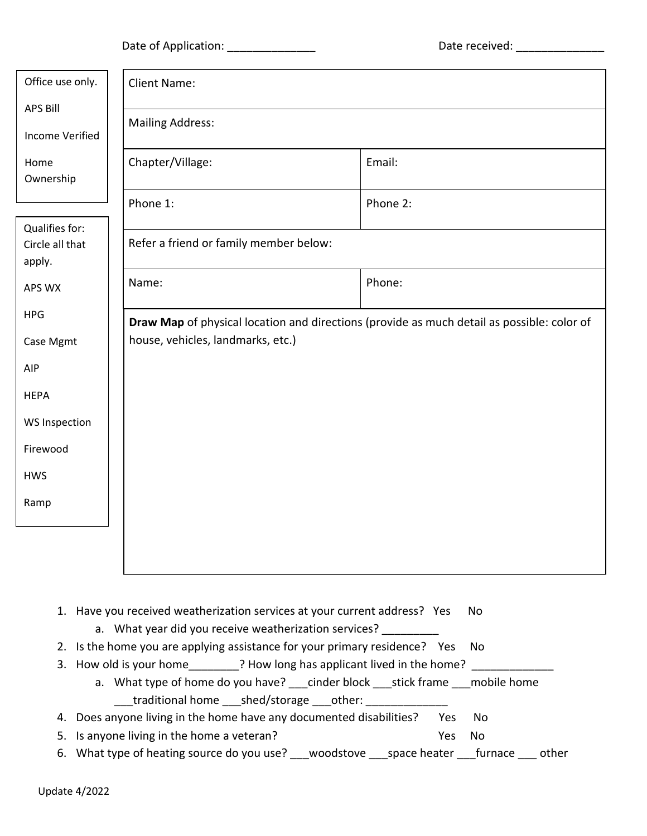Date of Application: \_\_\_\_\_\_\_\_\_\_\_\_\_\_ Date received: \_\_\_\_\_\_\_\_\_\_\_\_\_\_

| Office use only.                            | <b>Client Name:</b><br><b>Mailing Address:</b>                                             |          |  |  |
|---------------------------------------------|--------------------------------------------------------------------------------------------|----------|--|--|
| <b>APS Bill</b><br>Income Verified          |                                                                                            |          |  |  |
| Home<br>Ownership                           | Chapter/Village:                                                                           | Email:   |  |  |
|                                             | Phone 1:                                                                                   | Phone 2: |  |  |
| Qualifies for:<br>Circle all that<br>apply. | Refer a friend or family member below:                                                     |          |  |  |
| APS WX                                      | Name:                                                                                      | Phone:   |  |  |
| <b>HPG</b>                                  | Draw Map of physical location and directions (provide as much detail as possible: color of |          |  |  |
| Case Mgmt                                   | house, vehicles, landmarks, etc.)                                                          |          |  |  |
| <b>AIP</b>                                  |                                                                                            |          |  |  |
| <b>HEPA</b>                                 |                                                                                            |          |  |  |
| <b>WS Inspection</b>                        |                                                                                            |          |  |  |
| Firewood                                    |                                                                                            |          |  |  |
| <b>HWS</b>                                  |                                                                                            |          |  |  |
| Ramp                                        |                                                                                            |          |  |  |
|                                             |                                                                                            |          |  |  |

- 1. Have you received weatherization services at your current address? Yes No
	- a. What year did you receive weatherization services? \_\_\_\_\_\_\_\_\_
- 2. Is the home you are applying assistance for your primary residence? Yes No
- 3. How old is your home \_\_\_\_\_\_\_\_? How long has applicant lived in the home? \_\_\_\_\_
	- a. What type of home do you have? \_\_\_cinder block \_\_\_stick frame \_\_\_mobile home \_\_\_traditional home \_\_\_shed/storage \_\_\_other: \_\_\_\_\_\_\_\_\_\_\_\_\_
- 4. Does anyone living in the home have any documented disabilities? Yes No
- 5. Is anyone living in the home a veteran? The state of the No
- 6. What type of heating source do you use? \_\_\_woodstove \_\_\_space heater \_\_\_furnace \_\_\_ other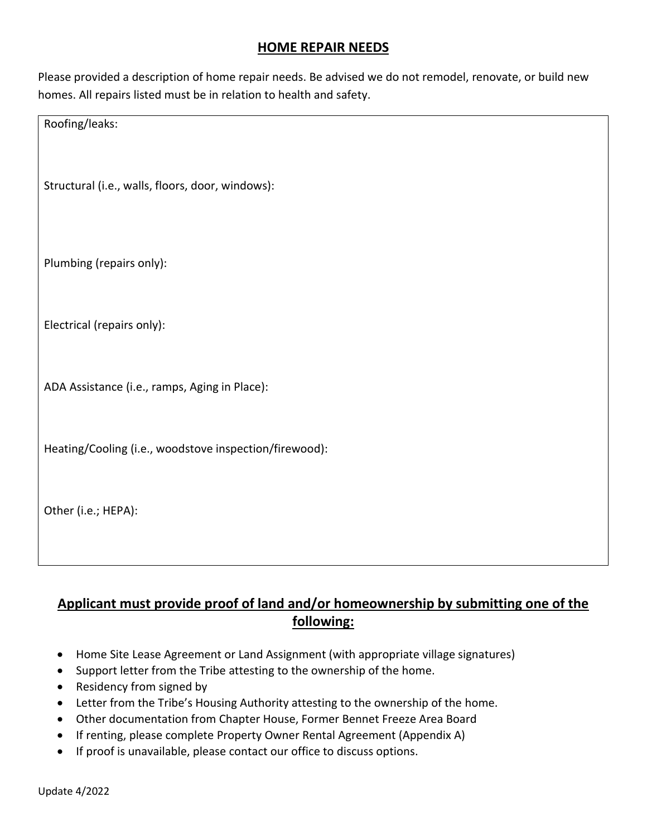# **HOME REPAIR NEEDS**

Please provided a description of home repair needs. Be advised we do not remodel, renovate, or build new homes. All repairs listed must be in relation to health and safety.

Roofing/leaks:

Structural (i.e., walls, floors, door, windows):

Plumbing (repairs only):

Electrical (repairs only):

ADA Assistance (i.e., ramps, Aging in Place):

Heating/Cooling (i.e., woodstove inspection/firewood):

Other (i.e.; HEPA):

# **Applicant must provide proof of land and/or homeownership by submitting one of the following:**

- Home Site Lease Agreement or Land Assignment (with appropriate village signatures)
- Support letter from the Tribe attesting to the ownership of the home.
- Residency from signed by
- Letter from the Tribe's Housing Authority attesting to the ownership of the home.
- Other documentation from Chapter House, Former Bennet Freeze Area Board
- If renting, please complete Property Owner Rental Agreement (Appendix A)
- If proof is unavailable, please contact our office to discuss options.

Update 4/2022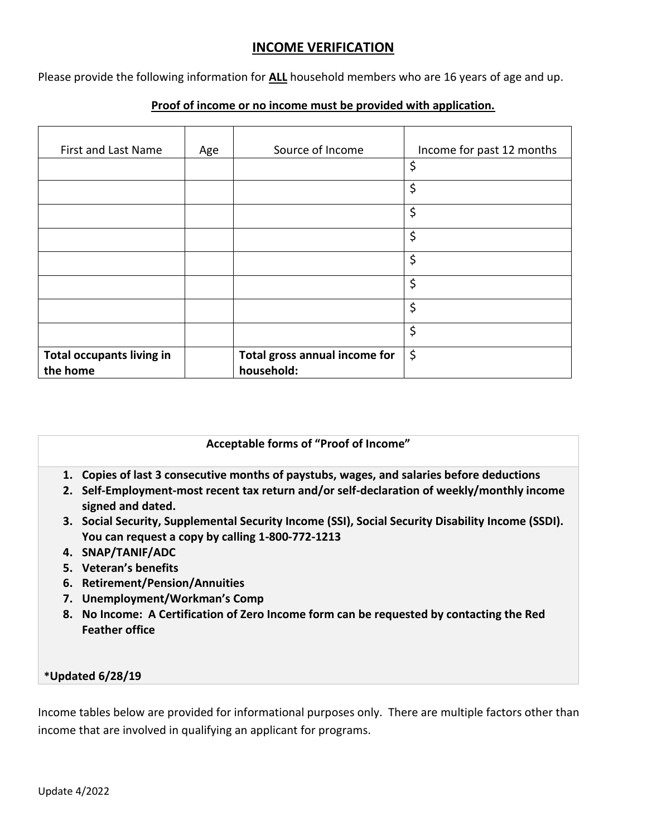### **INCOME VERIFICATION**

Please provide the following information for **ALL** household members who are 16 years of age and up.

#### **Proof of income or no income must be provided with application.**

| First and Last Name                          | Age | Source of Income                            | Income for past 12 months |
|----------------------------------------------|-----|---------------------------------------------|---------------------------|
|                                              |     |                                             | \$                        |
|                                              |     |                                             | \$                        |
|                                              |     |                                             | \$                        |
|                                              |     |                                             | \$                        |
|                                              |     |                                             | \$                        |
|                                              |     |                                             | \$                        |
|                                              |     |                                             | \$                        |
|                                              |     |                                             | \$                        |
| <b>Total occupants living in</b><br>the home |     | Total gross annual income for<br>household: | \$                        |

#### **Acceptable forms of "Proof of Income"**

- **1. Copies of last 3 consecutive months of paystubs, wages, and salaries before deductions**
- **2. Self-Employment-most recent tax return and/or self-declaration of weekly/monthly income signed and dated.**
- **3. Social Security, Supplemental Security Income (SSI), Social Security Disability Income (SSDI). You can request a copy by calling 1-800-772-1213**
- **4. SNAP/TANIF/ADC**
- **5. Veteran's benefits**
- **6. Retirement/Pension/Annuities**
- **7. Unemployment/Workman's Comp**
- **8. No Income: A Certification of Zero Income form can be requested by contacting the Red Feather office**

#### **\*Updated 6/28/19**

Income tables below are provided for informational purposes only. There are multiple factors other than income that are involved in qualifying an applicant for programs.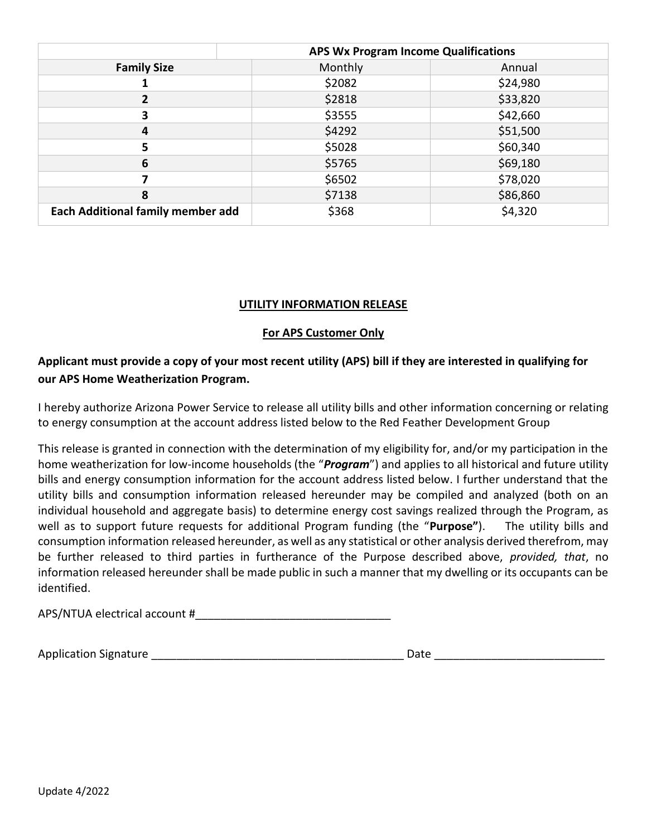|                                          | <b>APS Wx Program Income Qualifications</b> |          |  |
|------------------------------------------|---------------------------------------------|----------|--|
| <b>Family Size</b>                       | Monthly                                     | Annual   |  |
|                                          | \$2082                                      | \$24,980 |  |
|                                          | \$2818                                      | \$33,820 |  |
| 3                                        | \$3555                                      | \$42,660 |  |
| 4                                        | \$4292                                      | \$51,500 |  |
| 5                                        | \$5028                                      | \$60,340 |  |
| 6                                        | \$5765                                      | \$69,180 |  |
|                                          | \$6502                                      | \$78,020 |  |
| 8                                        | \$7138                                      | \$86,860 |  |
| <b>Each Additional family member add</b> | \$368                                       | \$4,320  |  |

### **UTILITY INFORMATION RELEASE**

### **For APS Customer Only**

## **Applicant must provide a copy of your most recent utility (APS) bill if they are interested in qualifying for our APS Home Weatherization Program.**

I hereby authorize Arizona Power Service to release all utility bills and other information concerning or relating to energy consumption at the account address listed below to the Red Feather Development Group

This release is granted in connection with the determination of my eligibility for, and/or my participation in the home weatherization for low-income households (the "*Program*") and applies to all historical and future utility bills and energy consumption information for the account address listed below. I further understand that the utility bills and consumption information released hereunder may be compiled and analyzed (both on an individual household and aggregate basis) to determine energy cost savings realized through the Program, as well as to support future requests for additional Program funding (the "**Purpose"**). The utility bills and consumption information released hereunder, as well as any statistical or other analysis derived therefrom, may be further released to third parties in furtherance of the Purpose described above, *provided, that*, no information released hereunder shall be made public in such a manner that my dwelling or its occupants can be identified.

APS/NTUA electrical account #\_\_\_\_\_\_\_\_\_\_\_\_\_\_\_\_\_\_\_\_\_\_\_\_\_\_\_\_\_\_\_

Application Signature and the contraction of the contraction of the contraction of the contraction of the contra